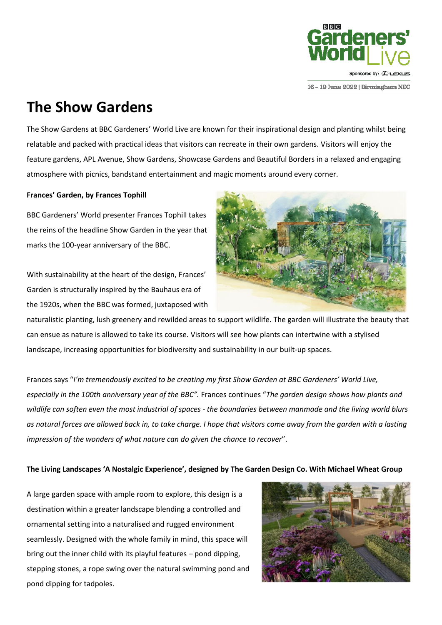

#### 16-19 June 2022 | Birmingham NEC

## **The Show Gardens**

The Show Gardens at BBC Gardeners' World Live are known for their inspirational design and planting whilst being relatable and packed with practical ideas that visitors can recreate in their own gardens. Visitors will enjoy the feature gardens, APL Avenue, Show Gardens, Showcase Gardens and Beautiful Borders in a relaxed and engaging atmosphere with picnics, bandstand entertainment and magic moments around every corner.

#### **Frances' Garden, by Frances Tophill**

BBC Gardeners' World presenter Frances Tophill takes the reins of the headline Show Garden in the year that marks the 100-year anniversary of the BBC.

With sustainability at the heart of the design, Frances' Garden is structurally inspired by the Bauhaus era of the 1920s, when the BBC was formed, juxtaposed with



naturalistic planting, lush greenery and rewilded areas to support wildlife. The garden will illustrate the beauty that can ensue as nature is allowed to take its course. Visitors will see how plants can intertwine with a stylised landscape, increasing opportunities for biodiversity and sustainability in our built-up spaces.

Frances says "*I'm tremendously excited to be creating my first Show Garden at BBC Gardeners' World Live, especially in the 100th anniversary year of the BBC".* Frances continues "*The garden design shows how plants and wildlife can soften even the most industrial of spaces - the boundaries between manmade and the living world blurs as natural forces are allowed back in, to take charge. I hope that visitors come away from the garden with a lasting impression of the wonders of what nature can do given the chance to recover*".

#### **The Living Landscapes 'A Nostalgic Experience', designed by The Garden Design Co. With Michael Wheat Group**

A large garden space with ample room to explore, this design is a destination within a greater landscape blending a controlled and ornamental setting into a naturalised and rugged environment seamlessly. Designed with the whole family in mind, this space will bring out the inner child with its playful features – pond dipping, stepping stones, a rope swing over the natural swimming pond and pond dipping for tadpoles.

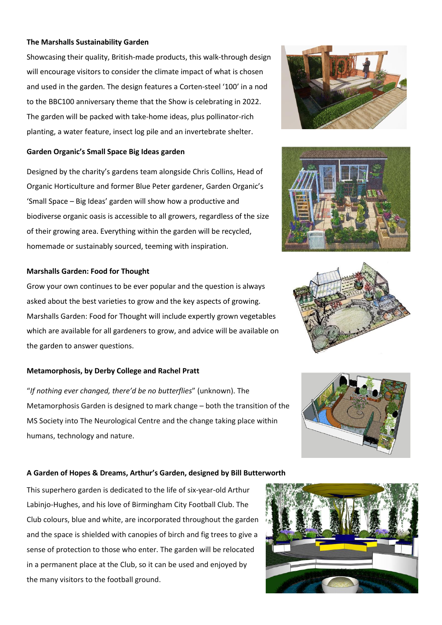#### **The Marshalls Sustainability Garden**

Showcasing their quality, British-made products, this walk-through design will encourage visitors to consider the climate impact of what is chosen and used in the garden. The design features a Corten-steel '100' in a nod to the BBC100 anniversary theme that the Show is celebrating in 2022. The garden will be packed with take-home ideas, plus pollinator-rich planting, a water feature, insect log pile and an invertebrate shelter.

#### **Garden Organic's Small Space Big Ideas garden**

Designed by the charity's gardens team alongside Chris Collins, Head of Organic Horticulture and former Blue Peter gardener, Garden Organic's 'Small Space – Big Ideas' garden will show how a productive and biodiverse organic oasis is accessible to all growers, regardless of the size of their growing area. Everything within the garden will be recycled, homemade or sustainably sourced, teeming with inspiration.

#### **Marshalls Garden: Food for Thought**

Grow your own continues to be ever popular and the question is always asked about the best varieties to grow and the key aspects of growing. Marshalls Garden: Food for Thought will include expertly grown vegetables which are available for all gardeners to grow, and advice will be available on the garden to answer questions.

#### **Metamorphosis, by Derby College and Rachel Pratt**

"*If nothing ever changed, there'd be no butterflies*" (unknown). The Metamorphosis Garden is designed to mark change – both the transition of the MS Society into The Neurological Centre and the change taking place within humans, technology and nature.

### **A Garden of Hopes & Dreams, Arthur's Garden, designed by Bill Butterworth**

This superhero garden is dedicated to the life of six-year-old Arthur Labinjo-Hughes, and his love of Birmingham City Football Club. The Club colours, blue and white, are incorporated throughout the garden and the space is shielded with canopies of birch and fig trees to give a sense of protection to those who enter. The garden will be relocated in a permanent place at the Club, so it can be used and enjoyed by the many visitors to the football ground.